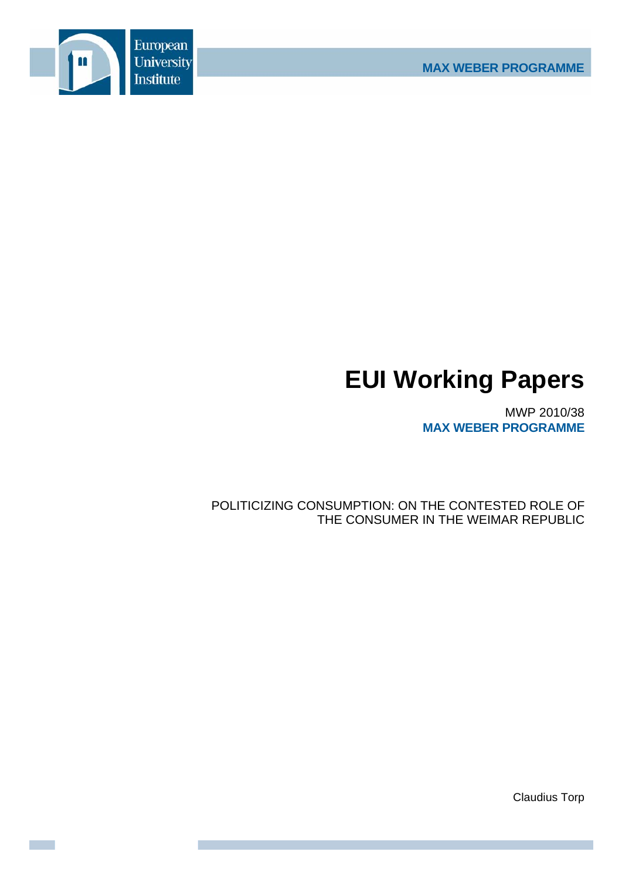

# **EUI Working Papers**

MWP 2010/38 **MAX WEBER PROGRAMME**

POLITICIZING CONSUMPTION: ON THE CONTESTED ROLE OF THE CONSUMER IN THE WEIMAR REPUBLIC

Claudius Torp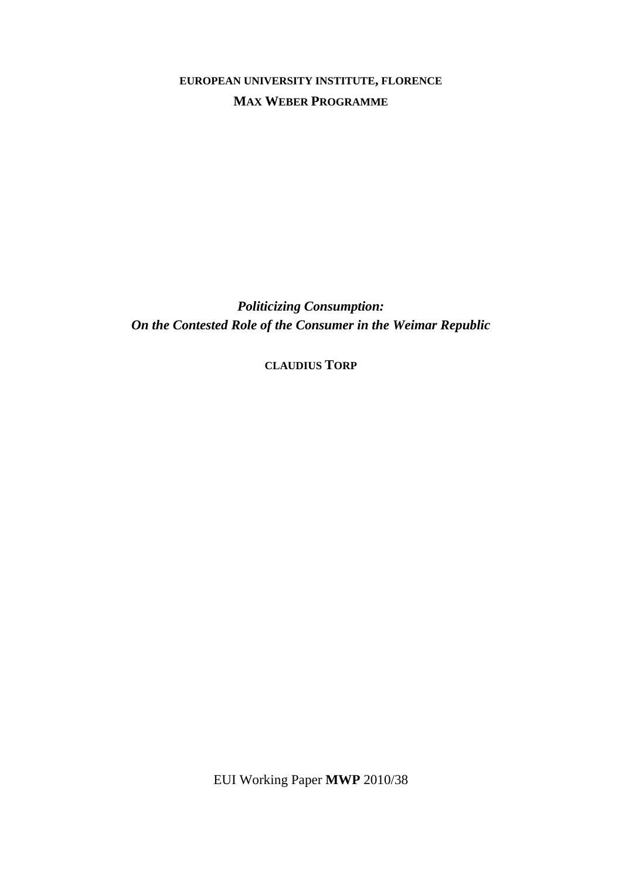**EUROPEAN UNIVERSITY INSTITUTE, FLORENCE MAX WEBER PROGRAMME**

*Politicizing Consumption: On the Contested Role of the Consumer in the Weimar Republic* 

**CLAUDIUS TORP**

EUI Working Paper **MWP** 2010/38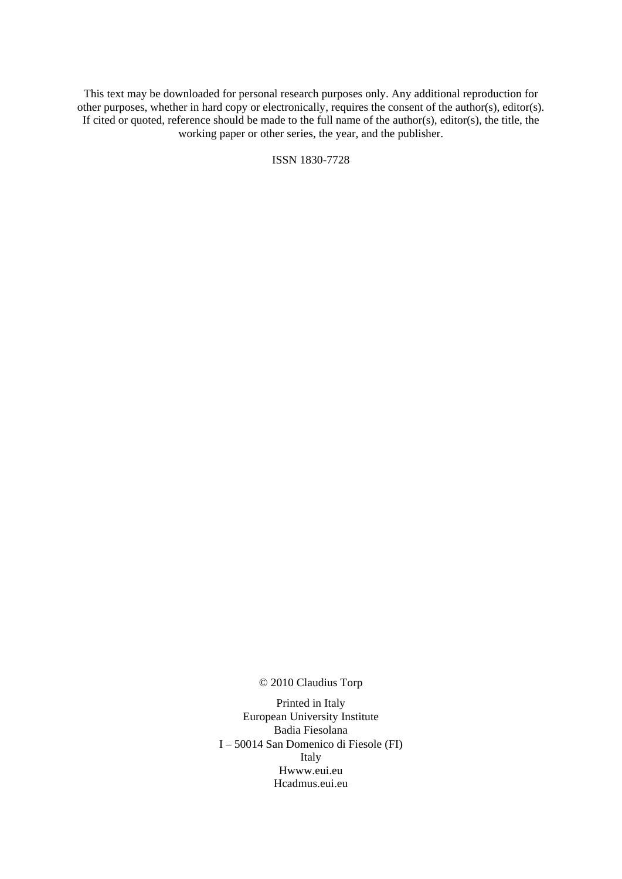This text may be downloaded for personal research purposes only. Any additional reproduction for other purposes, whether in hard copy or electronically, requires the consent of the author(s), editor(s). If cited or quoted, reference should be made to the full name of the author(s), editor(s), the title, the working paper or other series, the year, and the publisher.

ISSN 1830-7728

© 2010 Claudius Torp

Printed in Italy European University Institute Badia Fiesolana I – 50014 San Domenico di Fiesole (FI) Italy Hwww.eui.eu H cadmus.eui.eu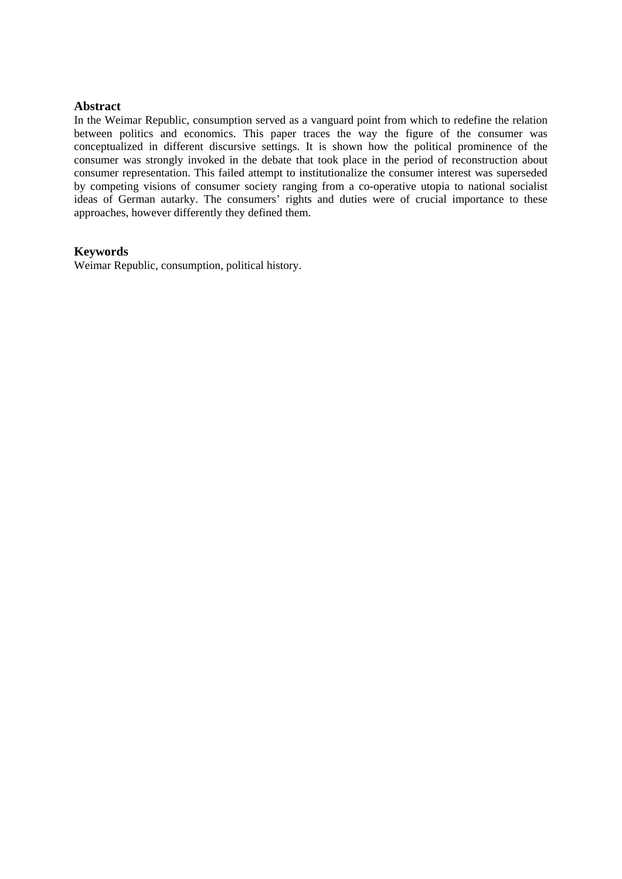## **Abstract**

In the Weimar Republic, consumption served as a vanguard point from which to redefine the relation between politics and economics. This paper traces the way the figure of the consumer was conceptualized in different discursive settings. It is shown how the political prominence of the consumer was strongly invoked in the debate that took place in the period of reconstruction about consumer representation. This failed attempt to institutionalize the consumer interest was superseded by competing visions of consumer society ranging from a co-operative utopia to national socialist ideas of German autarky. The consumers' rights and duties were of crucial importance to these approaches, however differently they defined them.

# **Keywords**

Weimar Republic, consumption, political history.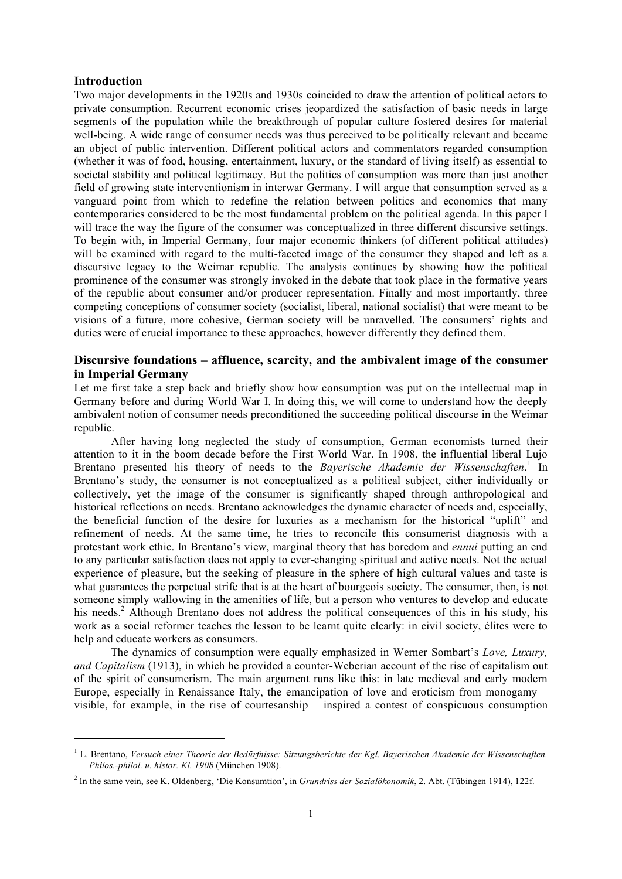## **Introduction**

1

Two major developments in the 1920s and 1930s coincided to draw the attention of political actors to private consumption. Recurrent economic crises jeopardized the satisfaction of basic needs in large segments of the population while the breakthrough of popular culture fostered desires for material well-being. A wide range of consumer needs was thus perceived to be politically relevant and became an object of public intervention. Different political actors and commentators regarded consumption (whether it was of food, housing, entertainment, luxury, or the standard of living itself) as essential to societal stability and political legitimacy. But the politics of consumption was more than just another field of growing state interventionism in interwar Germany. I will argue that consumption served as a vanguard point from which to redefine the relation between politics and economics that many contemporaries considered to be the most fundamental problem on the political agenda. In this paper I will trace the way the figure of the consumer was conceptualized in three different discursive settings. To begin with, in Imperial Germany, four major economic thinkers (of different political attitudes) will be examined with regard to the multi-faceted image of the consumer they shaped and left as a discursive legacy to the Weimar republic. The analysis continues by showing how the political prominence of the consumer was strongly invoked in the debate that took place in the formative years of the republic about consumer and/or producer representation. Finally and most importantly, three competing conceptions of consumer society (socialist, liberal, national socialist) that were meant to be visions of a future, more cohesive, German society will be unravelled. The consumers' rights and duties were of crucial importance to these approaches, however differently they defined them.

# **Discursive foundations – affluence, scarcity, and the ambivalent image of the consumer in Imperial Germany**

Let me first take a step back and briefly show how consumption was put on the intellectual map in Germany before and during World War I. In doing this, we will come to understand how the deeply ambivalent notion of consumer needs preconditioned the succeeding political discourse in the Weimar republic.

After having long neglected the study of consumption, German economists turned their attention to it in the boom decade before the First World War. In 1908, the influential liberal Lujo Brentano presented his theory of needs to the *Bayerische Akademie der Wissenschaften*. <sup>1</sup> In Brentano's study, the consumer is not conceptualized as a political subject, either individually or collectively, yet the image of the consumer is significantly shaped through anthropological and historical reflections on needs. Brentano acknowledges the dynamic character of needs and, especially, the beneficial function of the desire for luxuries as a mechanism for the historical "uplift" and refinement of needs. At the same time, he tries to reconcile this consumerist diagnosis with a protestant work ethic. In Brentano's view, marginal theory that has boredom and *ennui* putting an end to any particular satisfaction does not apply to ever-changing spiritual and active needs. Not the actual experience of pleasure, but the seeking of pleasure in the sphere of high cultural values and taste is what guarantees the perpetual strife that is at the heart of bourgeois society. The consumer, then, is not someone simply wallowing in the amenities of life, but a person who ventures to develop and educate his needs.<sup>2</sup> Although Brentano does not address the political consequences of this in his study, his work as a social reformer teaches the lesson to be learnt quite clearly: in civil society, élites were to help and educate workers as consumers.

The dynamics of consumption were equally emphasized in Werner Sombart's *Love, Luxury, and Capitalism* (1913), in which he provided a counter-Weberian account of the rise of capitalism out of the spirit of consumerism. The main argument runs like this: in late medieval and early modern Europe, especially in Renaissance Italy, the emancipation of love and eroticism from monogamy – visible, for example, in the rise of courtesanship – inspired a contest of conspicuous consumption

<sup>1</sup> L. Brentano, *Versuch einer Theorie der Bedürfnisse: Sitzungsberichte der Kgl. Bayerischen Akademie der Wissenschaften. Philos.-philol. u. histor. Kl. 1908* (München 1908).

<sup>2</sup> In the same vein, see K. Oldenberg, 'Die Konsumtion', in *Grundriss der Sozialökonomik*, 2. Abt. (Tübingen 1914), 122f.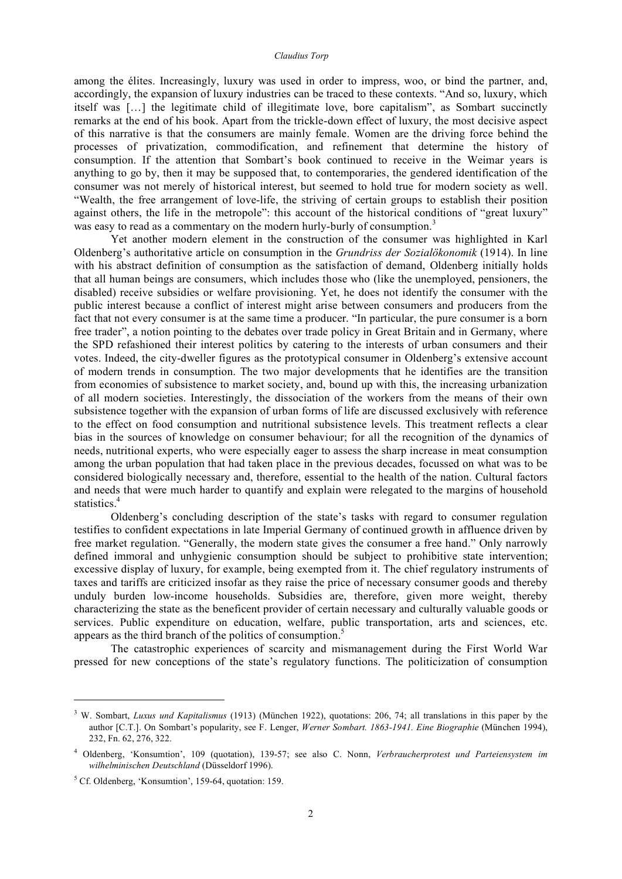among the élites. Increasingly, luxury was used in order to impress, woo, or bind the partner, and, accordingly, the expansion of luxury industries can be traced to these contexts. "And so, luxury, which itself was […] the legitimate child of illegitimate love, bore capitalism", as Sombart succinctly remarks at the end of his book. Apart from the trickle-down effect of luxury, the most decisive aspect of this narrative is that the consumers are mainly female. Women are the driving force behind the processes of privatization, commodification, and refinement that determine the history of consumption. If the attention that Sombart's book continued to receive in the Weimar years is anything to go by, then it may be supposed that, to contemporaries, the gendered identification of the consumer was not merely of historical interest, but seemed to hold true for modern society as well. "Wealth, the free arrangement of love-life, the striving of certain groups to establish their position against others, the life in the metropole": this account of the historical conditions of "great luxury" was easy to read as a commentary on the modern hurly-burly of consumption.<sup>3</sup>

Yet another modern element in the construction of the consumer was highlighted in Karl Oldenberg's authoritative article on consumption in the *Grundriss der Sozialökonomik* (1914). In line with his abstract definition of consumption as the satisfaction of demand, Oldenberg initially holds that all human beings are consumers, which includes those who (like the unemployed, pensioners, the disabled) receive subsidies or welfare provisioning. Yet, he does not identify the consumer with the public interest because a conflict of interest might arise between consumers and producers from the fact that not every consumer is at the same time a producer. "In particular, the pure consumer is a born free trader", a notion pointing to the debates over trade policy in Great Britain and in Germany, where the SPD refashioned their interest politics by catering to the interests of urban consumers and their votes. Indeed, the city-dweller figures as the prototypical consumer in Oldenberg's extensive account of modern trends in consumption. The two major developments that he identifies are the transition from economies of subsistence to market society, and, bound up with this, the increasing urbanization of all modern societies. Interestingly, the dissociation of the workers from the means of their own subsistence together with the expansion of urban forms of life are discussed exclusively with reference to the effect on food consumption and nutritional subsistence levels. This treatment reflects a clear bias in the sources of knowledge on consumer behaviour; for all the recognition of the dynamics of needs, nutritional experts, who were especially eager to assess the sharp increase in meat consumption among the urban population that had taken place in the previous decades, focussed on what was to be considered biologically necessary and, therefore, essential to the health of the nation. Cultural factors and needs that were much harder to quantify and explain were relegated to the margins of household statistics. 4

Oldenberg's concluding description of the state's tasks with regard to consumer regulation testifies to confident expectations in late Imperial Germany of continued growth in affluence driven by free market regulation. "Generally, the modern state gives the consumer a free hand." Only narrowly defined immoral and unhygienic consumption should be subject to prohibitive state intervention; excessive display of luxury, for example, being exempted from it. The chief regulatory instruments of taxes and tariffs are criticized insofar as they raise the price of necessary consumer goods and thereby unduly burden low-income households. Subsidies are, therefore, given more weight, thereby characterizing the state as the beneficent provider of certain necessary and culturally valuable goods or services. Public expenditure on education, welfare, public transportation, arts and sciences, etc. appears as the third branch of the politics of consumption.<sup>5</sup>

The catastrophic experiences of scarcity and mismanagement during the First World War pressed for new conceptions of the state's regulatory functions. The politicization of consumption

<sup>3</sup> W. Sombart, *Luxus und Kapitalismus* (1913) (München 1922), quotations: 206, 74; all translations in this paper by the author [C.T.]. On Sombart's popularity, see F. Lenger, *Werner Sombart. 1863-1941. Eine Biographie* (München 1994), 232, Fn. 62, 276, 322.

<sup>4</sup> Oldenberg, 'Konsumtion', 109 (quotation), 139-57; see also C. Nonn, *Verbraucherprotest und Parteiensystem im wilhelminischen Deutschland* (Düsseldorf 1996).

 $5$  Cf. Oldenberg, 'Konsumtion', 159-64, quotation: 159.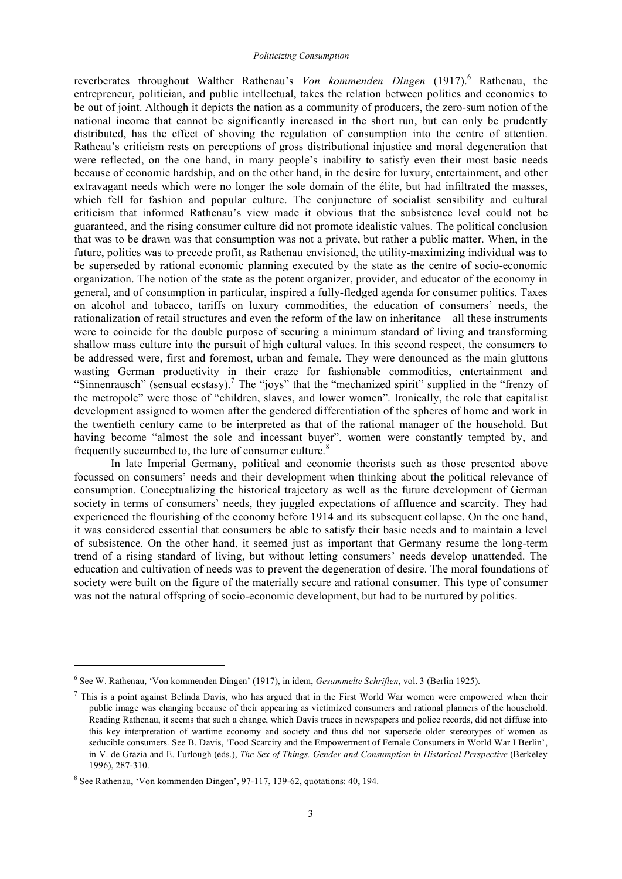reverberates throughout Walther Rathenau's *Von kommenden Dingen* (1917).<sup>6</sup> Rathenau, the entrepreneur, politician, and public intellectual, takes the relation between politics and economics to be out of joint. Although it depicts the nation as a community of producers, the zero-sum notion of the national income that cannot be significantly increased in the short run, but can only be prudently distributed, has the effect of shoving the regulation of consumption into the centre of attention. Ratheau's criticism rests on perceptions of gross distributional injustice and moral degeneration that were reflected, on the one hand, in many people's inability to satisfy even their most basic needs because of economic hardship, and on the other hand, in the desire for luxury, entertainment, and other extravagant needs which were no longer the sole domain of the élite, but had infiltrated the masses, which fell for fashion and popular culture. The conjuncture of socialist sensibility and cultural criticism that informed Rathenau's view made it obvious that the subsistence level could not be guaranteed, and the rising consumer culture did not promote idealistic values. The political conclusion that was to be drawn was that consumption was not a private, but rather a public matter. When, in the future, politics was to precede profit, as Rathenau envisioned, the utility-maximizing individual was to be superseded by rational economic planning executed by the state as the centre of socio-economic organization. The notion of the state as the potent organizer, provider, and educator of the economy in general, and of consumption in particular, inspired a fully-fledged agenda for consumer politics. Taxes on alcohol and tobacco, tariffs on luxury commodities, the education of consumers' needs, the rationalization of retail structures and even the reform of the law on inheritance – all these instruments were to coincide for the double purpose of securing a minimum standard of living and transforming shallow mass culture into the pursuit of high cultural values. In this second respect, the consumers to be addressed were, first and foremost, urban and female. They were denounced as the main gluttons wasting German productivity in their craze for fashionable commodities, entertainment and "Sinnenrausch" (sensual ecstasy).<sup>7</sup> The "joys" that the "mechanized spirit" supplied in the "frenzy of the metropole" were those of "children, slaves, and lower women". Ironically, the role that capitalist development assigned to women after the gendered differentiation of the spheres of home and work in the twentieth century came to be interpreted as that of the rational manager of the household. But having become "almost the sole and incessant buyer", women were constantly tempted by, and frequently succumbed to, the lure of consumer culture.<sup>8</sup>

In late Imperial Germany, political and economic theorists such as those presented above focussed on consumers' needs and their development when thinking about the political relevance of consumption. Conceptualizing the historical trajectory as well as the future development of German society in terms of consumers' needs, they juggled expectations of affluence and scarcity. They had experienced the flourishing of the economy before 1914 and its subsequent collapse. On the one hand, it was considered essential that consumers be able to satisfy their basic needs and to maintain a level of subsistence. On the other hand, it seemed just as important that Germany resume the long-term trend of a rising standard of living, but without letting consumers' needs develop unattended. The education and cultivation of needs was to prevent the degeneration of desire. The moral foundations of society were built on the figure of the materially secure and rational consumer. This type of consumer was not the natural offspring of socio-economic development, but had to be nurtured by politics.

<sup>6</sup> See W. Rathenau, 'Von kommenden Dingen' (1917), in idem, *Gesammelte Schriften*, vol. 3 (Berlin 1925).

 $<sup>7</sup>$  This is a point against Belinda Davis, who has argued that in the First World War women were empowered when their</sup> public image was changing because of their appearing as victimized consumers and rational planners of the household. Reading Rathenau, it seems that such a change, which Davis traces in newspapers and police records, did not diffuse into this key interpretation of wartime economy and society and thus did not supersede older stereotypes of women as seducible consumers. See B. Davis, 'Food Scarcity and the Empowerment of Female Consumers in World War I Berlin', in V. de Grazia and E. Furlough (eds.), *The Sex of Things. Gender and Consumption in Historical Perspective* (Berkeley 1996), 287-310.

<sup>8</sup> See Rathenau, 'Von kommenden Dingen', 97-117, 139-62, quotations: 40, 194.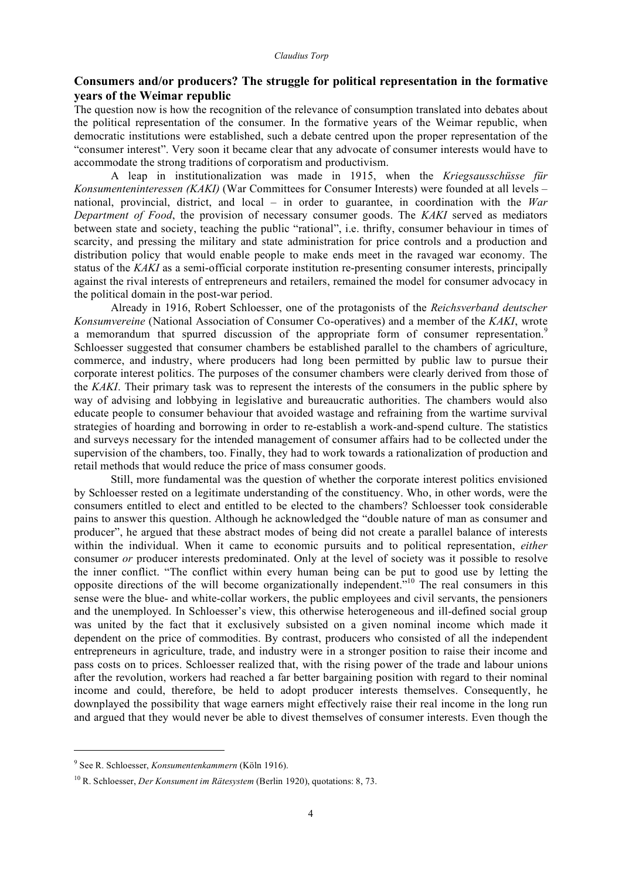# **Consumers and/or producers? The struggle for political representation in the formative years of the Weimar republic**

The question now is how the recognition of the relevance of consumption translated into debates about the political representation of the consumer. In the formative years of the Weimar republic, when democratic institutions were established, such a debate centred upon the proper representation of the "consumer interest". Very soon it became clear that any advocate of consumer interests would have to accommodate the strong traditions of corporatism and productivism.

A leap in institutionalization was made in 1915, when the *Kriegsausschüsse für Konsumenteninteressen (KAKI)* (War Committees for Consumer Interests) were founded at all levels – national, provincial, district, and local – in order to guarantee, in coordination with the *War Department of Food*, the provision of necessary consumer goods. The *KAKI* served as mediators between state and society, teaching the public "rational", i.e. thrifty, consumer behaviour in times of scarcity, and pressing the military and state administration for price controls and a production and distribution policy that would enable people to make ends meet in the ravaged war economy. The status of the *KAKI* as a semi-official corporate institution re-presenting consumer interests, principally against the rival interests of entrepreneurs and retailers, remained the model for consumer advocacy in the political domain in the post-war period.

Already in 1916, Robert Schloesser, one of the protagonists of the *Reichsverband deutscher Konsumvereine* (National Association of Consumer Co-operatives) and a member of the *KAKI*, wrote a memorandum that spurred discussion of the appropriate form of consumer representation.<sup>9</sup> Schloesser suggested that consumer chambers be established parallel to the chambers of agriculture, commerce, and industry, where producers had long been permitted by public law to pursue their corporate interest politics. The purposes of the consumer chambers were clearly derived from those of the *KAKI*. Their primary task was to represent the interests of the consumers in the public sphere by way of advising and lobbying in legislative and bureaucratic authorities. The chambers would also educate people to consumer behaviour that avoided wastage and refraining from the wartime survival strategies of hoarding and borrowing in order to re-establish a work-and-spend culture. The statistics and surveys necessary for the intended management of consumer affairs had to be collected under the supervision of the chambers, too. Finally, they had to work towards a rationalization of production and retail methods that would reduce the price of mass consumer goods.

Still, more fundamental was the question of whether the corporate interest politics envisioned by Schloesser rested on a legitimate understanding of the constituency. Who, in other words, were the consumers entitled to elect and entitled to be elected to the chambers? Schloesser took considerable pains to answer this question. Although he acknowledged the "double nature of man as consumer and producer", he argued that these abstract modes of being did not create a parallel balance of interests within the individual. When it came to economic pursuits and to political representation, *either* consumer *or* producer interests predominated. Only at the level of society was it possible to resolve the inner conflict. "The conflict within every human being can be put to good use by letting the opposite directions of the will become organizationally independent.<sup>510</sup> The real consumers in this sense were the blue- and white-collar workers, the public employees and civil servants, the pensioners and the unemployed. In Schloesser's view, this otherwise heterogeneous and ill-defined social group was united by the fact that it exclusively subsisted on a given nominal income which made it dependent on the price of commodities. By contrast, producers who consisted of all the independent entrepreneurs in agriculture, trade, and industry were in a stronger position to raise their income and pass costs on to prices. Schloesser realized that, with the rising power of the trade and labour unions after the revolution, workers had reached a far better bargaining position with regard to their nominal income and could, therefore, be held to adopt producer interests themselves. Consequently, he downplayed the possibility that wage earners might effectively raise their real income in the long run and argued that they would never be able to divest themselves of consumer interests. Even though the

<sup>9</sup> See R. Schloesser, *Konsumentenkammern* (Köln 1916).

<sup>10</sup> R. Schloesser, *Der Konsument im Rätesystem* (Berlin 1920), quotations: 8, 73.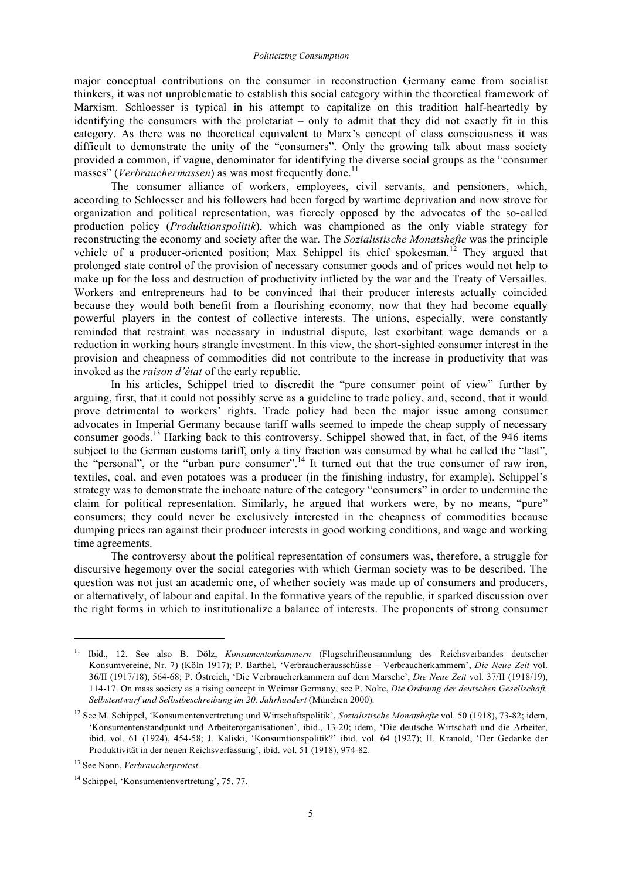major conceptual contributions on the consumer in reconstruction Germany came from socialist thinkers, it was not unproblematic to establish this social category within the theoretical framework of Marxism. Schloesser is typical in his attempt to capitalize on this tradition half-heartedly by identifying the consumers with the proletariat – only to admit that they did not exactly fit in this category. As there was no theoretical equivalent to Marx's concept of class consciousness it was difficult to demonstrate the unity of the "consumers". Only the growing talk about mass society provided a common, if vague, denominator for identifying the diverse social groups as the "consumer masses" (*Verbrauchermassen*) as was most frequently done.<sup>11</sup>

The consumer alliance of workers, employees, civil servants, and pensioners, which, according to Schloesser and his followers had been forged by wartime deprivation and now strove for organization and political representation, was fiercely opposed by the advocates of the so-called production policy (*Produktionspolitik*), which was championed as the only viable strategy for reconstructing the economy and society after the war. The *Sozialistische Monatshefte* was the principle vehicle of a producer-oriented position; Max Schippel its chief spokesman.<sup>12</sup> They argued that prolonged state control of the provision of necessary consumer goods and of prices would not help to make up for the loss and destruction of productivity inflicted by the war and the Treaty of Versailles. Workers and entrepreneurs had to be convinced that their producer interests actually coincided because they would both benefit from a flourishing economy, now that they had become equally powerful players in the contest of collective interests. The unions, especially, were constantly reminded that restraint was necessary in industrial dispute, lest exorbitant wage demands or a reduction in working hours strangle investment. In this view, the short-sighted consumer interest in the provision and cheapness of commodities did not contribute to the increase in productivity that was invoked as the *raison d'état* of the early republic.

In his articles, Schippel tried to discredit the "pure consumer point of view" further by arguing, first, that it could not possibly serve as a guideline to trade policy, and, second, that it would prove detrimental to workers' rights. Trade policy had been the major issue among consumer advocates in Imperial Germany because tariff walls seemed to impede the cheap supply of necessary consumer goods.<sup>13</sup> Harking back to this controversy, Schippel showed that, in fact, of the 946 items subject to the German customs tariff, only a tiny fraction was consumed by what he called the "last", the "personal", or the "urban pure consumer".<sup>14</sup> It turned out that the true consumer of raw iron, textiles, coal, and even potatoes was a producer (in the finishing industry, for example). Schippel's strategy was to demonstrate the inchoate nature of the category "consumers" in order to undermine the claim for political representation. Similarly, he argued that workers were, by no means, "pure" consumers; they could never be exclusively interested in the cheapness of commodities because dumping prices ran against their producer interests in good working conditions, and wage and working time agreements.

The controversy about the political representation of consumers was, therefore, a struggle for discursive hegemony over the social categories with which German society was to be described. The question was not just an academic one, of whether society was made up of consumers and producers, or alternatively, of labour and capital. In the formative years of the republic, it sparked discussion over the right forms in which to institutionalize a balance of interests. The proponents of strong consumer

<sup>11</sup> Ibid., 12. See also B. Dölz, *Konsumentenkammern* (Flugschriftensammlung des Reichsverbandes deutscher Konsumvereine, Nr. 7) (Köln 1917); P. Barthel, 'Verbraucherausschüsse – Verbraucherkammern', *Die Neue Zeit* vol. 36/II (1917/18), 564-68; P. Östreich, 'Die Verbraucherkammern auf dem Marsche', *Die Neue Zeit* vol. 37/II (1918/19), 114-17. On mass society as a rising concept in Weimar Germany, see P. Nolte, *Die Ordnung der deutschen Gesellschaft. Selbstentwurf und Selbstbeschreibung im 20. Jahrhundert* (München 2000).

<sup>12</sup> See M. Schippel, 'Konsumentenvertretung und Wirtschaftspolitik', *Sozialistische Monatshefte* vol. 50 (1918), 73-82; idem, 'Konsumentenstandpunkt und Arbeiterorganisationen', ibid., 13-20; idem, 'Die deutsche Wirtschaft und die Arbeiter, ibid. vol. 61 (1924), 454-58; J. Kaliski, 'Konsumtionspolitik?' ibid. vol. 64 (1927); H. Kranold, 'Der Gedanke der Produktivität in der neuen Reichsverfassung', ibid. vol. 51 (1918), 974-82.

<sup>13</sup> See Nonn, *Verbraucherprotest*.

<sup>14</sup> Schippel, 'Konsumentenvertretung', 75, 77.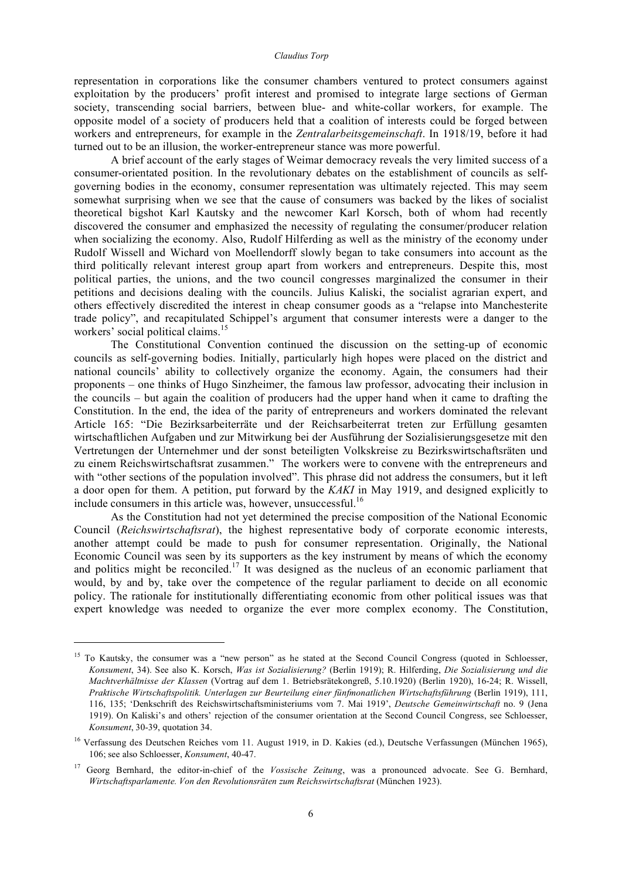#### *Claudius Torp*

representation in corporations like the consumer chambers ventured to protect consumers against exploitation by the producers' profit interest and promised to integrate large sections of German society, transcending social barriers, between blue- and white-collar workers, for example. The opposite model of a society of producers held that a coalition of interests could be forged between workers and entrepreneurs, for example in the *Zentralarbeitsgemeinschaft*. In 1918/19, before it had turned out to be an illusion, the worker-entrepreneur stance was more powerful.

A brief account of the early stages of Weimar democracy reveals the very limited success of a consumer-orientated position. In the revolutionary debates on the establishment of councils as selfgoverning bodies in the economy, consumer representation was ultimately rejected. This may seem somewhat surprising when we see that the cause of consumers was backed by the likes of socialist theoretical bigshot Karl Kautsky and the newcomer Karl Korsch, both of whom had recently discovered the consumer and emphasized the necessity of regulating the consumer/producer relation when socializing the economy. Also, Rudolf Hilferding as well as the ministry of the economy under Rudolf Wissell and Wichard von Moellendorff slowly began to take consumers into account as the third politically relevant interest group apart from workers and entrepreneurs. Despite this, most political parties, the unions, and the two council congresses marginalized the consumer in their petitions and decisions dealing with the councils. Julius Kaliski, the socialist agrarian expert, and others effectively discredited the interest in cheap consumer goods as a "relapse into Manchesterite trade policy", and recapitulated Schippel's argument that consumer interests were a danger to the workers' social political claims. 15

The Constitutional Convention continued the discussion on the setting-up of economic councils as self-governing bodies. Initially, particularly high hopes were placed on the district and national councils' ability to collectively organize the economy. Again, the consumers had their proponents – one thinks of Hugo Sinzheimer, the famous law professor, advocating their inclusion in the councils – but again the coalition of producers had the upper hand when it came to drafting the Constitution. In the end, the idea of the parity of entrepreneurs and workers dominated the relevant Article 165: "Die Bezirksarbeiterräte und der Reichsarbeiterrat treten zur Erfüllung gesamten wirtschaftlichen Aufgaben und zur Mitwirkung bei der Ausführung der Sozialisierungsgesetze mit den Vertretungen der Unternehmer und der sonst beteiligten Volkskreise zu Bezirkswirtschaftsräten und zu einem Reichswirtschaftsrat zusammen." The workers were to convene with the entrepreneurs and with "other sections of the population involved". This phrase did not address the consumers, but it left a door open for them. A petition, put forward by the *KAKI* in May 1919, and designed explicitly to include consumers in this article was, however, unsuccessful.<sup>16</sup>

As the Constitution had not yet determined the precise composition of the National Economic Council (*Reichswirtschaftsrat*), the highest representative body of corporate economic interests, another attempt could be made to push for consumer representation. Originally, the National Economic Council was seen by its supporters as the key instrument by means of which the economy and politics might be reconciled.<sup>17</sup> It was designed as the nucleus of an economic parliament that would, by and by, take over the competence of the regular parliament to decide on all economic policy. The rationale for institutionally differentiating economic from other political issues was that expert knowledge was needed to organize the ever more complex economy. The Constitution,

<sup>&</sup>lt;sup>15</sup> To Kautsky, the consumer was a "new person" as he stated at the Second Council Congress (quoted in Schloesser, *Konsument*, 34). See also K. Korsch, *Was ist Sozialisierung?* (Berlin 1919); R. Hilferding, *Die Sozialisierung und die Machtverhältnisse der Klassen* (Vortrag auf dem 1. Betriebsrätekongreß, 5.10.1920) (Berlin 1920), 16-24; R. Wissell, *Praktische Wirtschaftspolitik. Unterlagen zur Beurteilung einer fünfmonatlichen Wirtschaftsführung* (Berlin 1919), 111, 116, 135; 'Denkschrift des Reichswirtschaftsministeriums vom 7. Mai 1919', *Deutsche Gemeinwirtschaft* no. 9 (Jena 1919). On Kaliski's and others' rejection of the consumer orientation at the Second Council Congress, see Schloesser, *Konsument*, 30-39, quotation 34.

<sup>&</sup>lt;sup>16</sup> Verfassung des Deutschen Reiches vom 11. August 1919, in D. Kakies (ed.), Deutsche Verfassungen (München 1965), 106; see also Schloesser, *Konsument*, 40-47.

<sup>&</sup>lt;sup>17</sup> Georg Bernhard, the editor-in-chief of the *Vossische Zeitung*, was a pronounced advocate. See G. Bernhard, *Wirtschaftsparlamente. Von den Revolutionsräten zum Reichswirtschaftsrat* (München 1923).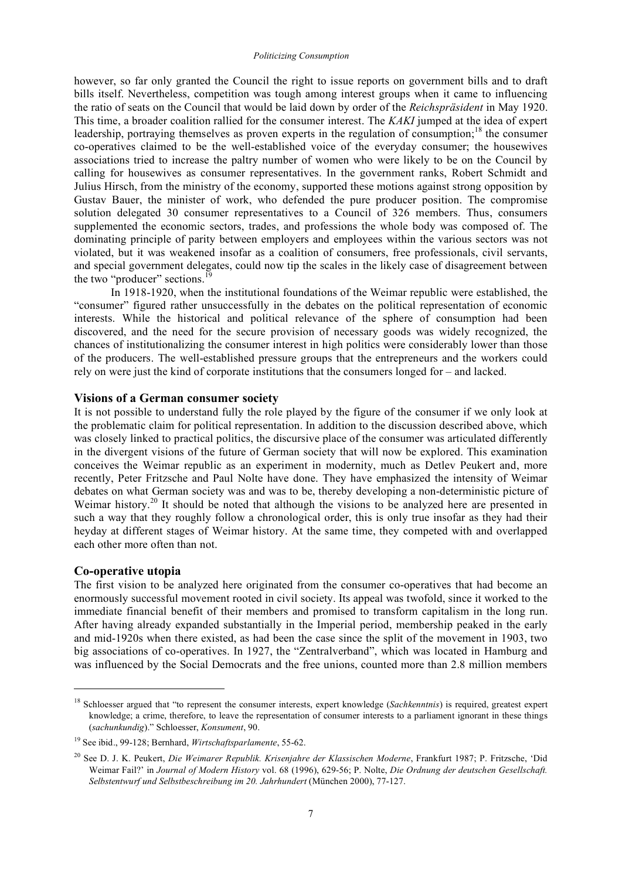however, so far only granted the Council the right to issue reports on government bills and to draft bills itself. Nevertheless, competition was tough among interest groups when it came to influencing the ratio of seats on the Council that would be laid down by order of the *Reichspräsident* in May 1920. This time, a broader coalition rallied for the consumer interest. The *KAKI* jumped at the idea of expert leadership, portraying themselves as proven experts in the regulation of consumption;<sup>18</sup> the consumer co-operatives claimed to be the well-established voice of the everyday consumer; the housewives associations tried to increase the paltry number of women who were likely to be on the Council by calling for housewives as consumer representatives. In the government ranks, Robert Schmidt and Julius Hirsch, from the ministry of the economy, supported these motions against strong opposition by Gustav Bauer, the minister of work, who defended the pure producer position. The compromise solution delegated 30 consumer representatives to a Council of 326 members. Thus, consumers supplemented the economic sectors, trades, and professions the whole body was composed of. The dominating principle of parity between employers and employees within the various sectors was not violated, but it was weakened insofar as a coalition of consumers, free professionals, civil servants, and special government delegates, could now tip the scales in the likely case of disagreement between the two "producer" sections.<sup>19</sup>

In 1918-1920, when the institutional foundations of the Weimar republic were established, the "consumer" figured rather unsuccessfully in the debates on the political representation of economic interests. While the historical and political relevance of the sphere of consumption had been discovered, and the need for the secure provision of necessary goods was widely recognized, the chances of institutionalizing the consumer interest in high politics were considerably lower than those of the producers. The well-established pressure groups that the entrepreneurs and the workers could rely on were just the kind of corporate institutions that the consumers longed for – and lacked.

## **Visions of a German consumer society**

It is not possible to understand fully the role played by the figure of the consumer if we only look at the problematic claim for political representation. In addition to the discussion described above, which was closely linked to practical politics, the discursive place of the consumer was articulated differently in the divergent visions of the future of German society that will now be explored. This examination conceives the Weimar republic as an experiment in modernity, much as Detlev Peukert and, more recently, Peter Fritzsche and Paul Nolte have done. They have emphasized the intensity of Weimar debates on what German society was and was to be, thereby developing a non-deterministic picture of Weimar history.<sup>20</sup> It should be noted that although the visions to be analyzed here are presented in such a way that they roughly follow a chronological order, this is only true insofar as they had their heyday at different stages of Weimar history. At the same time, they competed with and overlapped each other more often than not.

## **Co-operative utopia**

<u>.</u>

The first vision to be analyzed here originated from the consumer co-operatives that had become an enormously successful movement rooted in civil society. Its appeal was twofold, since it worked to the immediate financial benefit of their members and promised to transform capitalism in the long run. After having already expanded substantially in the Imperial period, membership peaked in the early and mid-1920s when there existed, as had been the case since the split of the movement in 1903, two big associations of co-operatives. In 1927, the "Zentralverband", which was located in Hamburg and was influenced by the Social Democrats and the free unions, counted more than 2.8 million members

<sup>18</sup> Schloesser argued that "to represent the consumer interests, expert knowledge (*Sachkenntnis*) is required, greatest expert knowledge; a crime, therefore, to leave the representation of consumer interests to a parliament ignorant in these things (*sachunkundig*)." Schloesser, *Konsument*, 90.

<sup>19</sup> See ibid., 99-128; Bernhard, *Wirtschaftsparlamente*, 55-62.

<sup>20</sup> See D. J. K. Peukert, *Die Weimarer Republik. Krisenjahre der Klassischen Moderne*, Frankfurt 1987; P. Fritzsche, 'Did Weimar Fail?' in *Journal of Modern History* vol. 68 (1996), 629-56; P. Nolte, *Die Ordnung der deutschen Gesellschaft. Selbstentwurf und Selbstbeschreibung im 20. Jahrhundert* (München 2000), 77-127.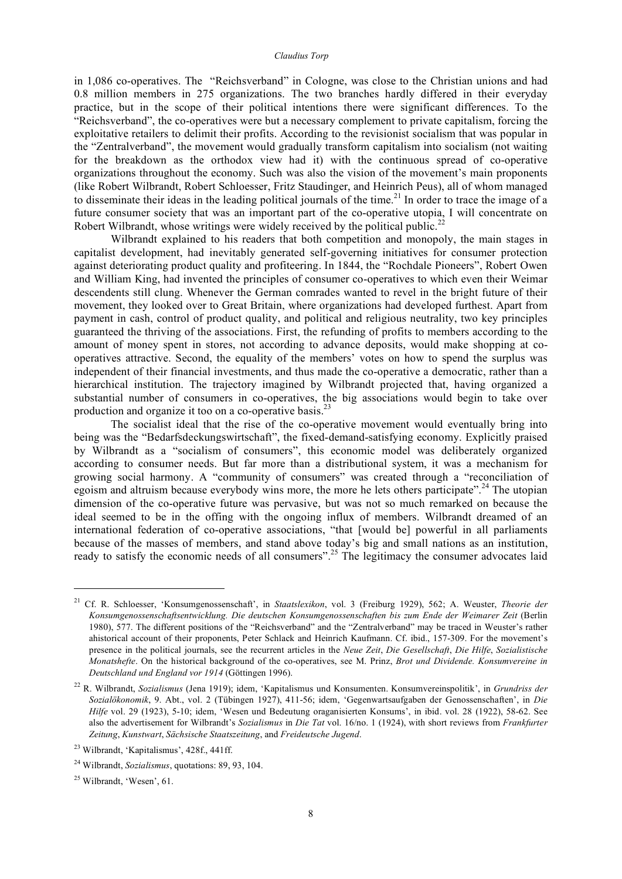in 1,086 co-operatives. The "Reichsverband" in Cologne, was close to the Christian unions and had 0.8 million members in 275 organizations. The two branches hardly differed in their everyday practice, but in the scope of their political intentions there were significant differences. To the "Reichsverband", the co-operatives were but a necessary complement to private capitalism, forcing the exploitative retailers to delimit their profits. According to the revisionist socialism that was popular in the "Zentralverband", the movement would gradually transform capitalism into socialism (not waiting for the breakdown as the orthodox view had it) with the continuous spread of co-operative organizations throughout the economy. Such was also the vision of the movement's main proponents (like Robert Wilbrandt, Robert Schloesser, Fritz Staudinger, and Heinrich Peus), all of whom managed to disseminate their ideas in the leading political journals of the time.<sup>21</sup> In order to trace the image of a future consumer society that was an important part of the co-operative utopia, I will concentrate on Robert Wilbrandt, whose writings were widely received by the political public.<sup>22</sup>

Wilbrandt explained to his readers that both competition and monopoly, the main stages in capitalist development, had inevitably generated self-governing initiatives for consumer protection against deteriorating product quality and profiteering. In 1844, the "Rochdale Pioneers", Robert Owen and William King, had invented the principles of consumer co-operatives to which even their Weimar descendents still clung. Whenever the German comrades wanted to revel in the bright future of their movement, they looked over to Great Britain, where organizations had developed furthest. Apart from payment in cash, control of product quality, and political and religious neutrality, two key principles guaranteed the thriving of the associations. First, the refunding of profits to members according to the amount of money spent in stores, not according to advance deposits, would make shopping at cooperatives attractive. Second, the equality of the members' votes on how to spend the surplus was independent of their financial investments, and thus made the co-operative a democratic, rather than a hierarchical institution. The trajectory imagined by Wilbrandt projected that, having organized a substantial number of consumers in co-operatives, the big associations would begin to take over production and organize it too on a co-operative basis.<sup>23</sup>

The socialist ideal that the rise of the co-operative movement would eventually bring into being was the "Bedarfsdeckungswirtschaft", the fixed-demand-satisfying economy. Explicitly praised by Wilbrandt as a "socialism of consumers", this economic model was deliberately organized according to consumer needs. But far more than a distributional system, it was a mechanism for growing social harmony. A "community of consumers" was created through a "reconciliation of egoism and altruism because everybody wins more, the more he lets others participate".<sup>24</sup> The utopian dimension of the co-operative future was pervasive, but was not so much remarked on because the ideal seemed to be in the offing with the ongoing influx of members. Wilbrandt dreamed of an international federation of co-operative associations, "that [would be] powerful in all parliaments because of the masses of members, and stand above today's big and small nations as an institution, ready to satisfy the economic needs of all consumers".<sup>25</sup> The legitimacy the consumer advocates laid

<sup>21</sup> Cf. R. Schloesser, 'Konsumgenossenschaft', in *Staatslexikon*, vol. 3 (Freiburg 1929), 562; A. Weuster, *Theorie der Konsumgenossenschaftsentwicklung. Die deutschen Konsumgenossenschaften bis zum Ende der Weimarer Zeit* (Berlin 1980), 577. The different positions of the "Reichsverband" and the "Zentralverband" may be traced in Weuster's rather ahistorical account of their proponents, Peter Schlack and Heinrich Kaufmann. Cf. ibid., 157-309. For the movement's presence in the political journals, see the recurrent articles in the *Neue Zeit*, *Die Gesellschaft*, *Die Hilfe*, *Sozialistische Monatshefte*. On the historical background of the co-operatives, see M. Prinz, *Brot und Dividende. Konsumvereine in Deutschland und England vor 1914* (Göttingen 1996).

<sup>22</sup> R. Wilbrandt, *Sozialismus* (Jena 1919); idem, 'Kapitalismus und Konsumenten. Konsumvereinspolitik', in *Grundriss der Sozialökonomik*, 9. Abt., vol. 2 (Tübingen 1927), 411-56; idem, 'Gegenwartsaufgaben der Genossenschaften', in *Die Hilfe* vol. 29 (1923), 5-10; idem, 'Wesen und Bedeutung oraganisierten Konsums', in ibid. vol. 28 (1922), 58-62. See also the advertisement for Wilbrandt's *Sozialismus* in *Die Tat* vol. 16/no. 1 (1924), with short reviews from *Frankfurter Zeitung*, *Kunstwart*, *Sächsische Staatszeitung*, and *Freideutsche Jugend*.

<sup>23</sup> Wilbrandt, 'Kapitalismus', 428f., 441ff.

<sup>24</sup> Wilbrandt, *Sozialismus*, quotations: 89, 93, 104.

<sup>25</sup> Wilbrandt, 'Wesen', 61.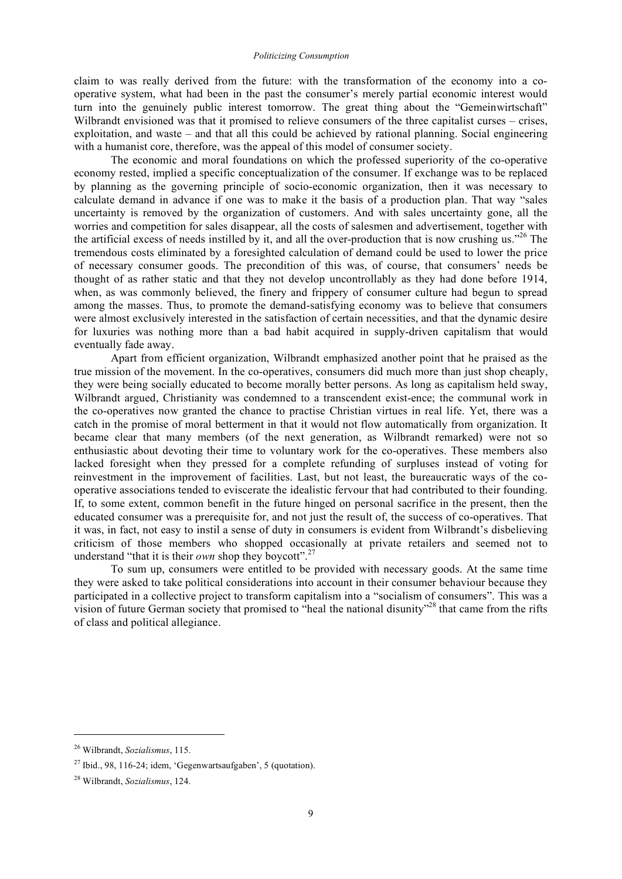claim to was really derived from the future: with the transformation of the economy into a cooperative system, what had been in the past the consumer's merely partial economic interest would turn into the genuinely public interest tomorrow. The great thing about the "Gemeinwirtschaft" Wilbrandt envisioned was that it promised to relieve consumers of the three capitalist curses – crises, exploitation, and waste – and that all this could be achieved by rational planning. Social engineering with a humanist core, therefore, was the appeal of this model of consumer society.

The economic and moral foundations on which the professed superiority of the co-operative economy rested, implied a specific conceptualization of the consumer. If exchange was to be replaced by planning as the governing principle of socio-economic organization, then it was necessary to calculate demand in advance if one was to make it the basis of a production plan. That way "sales uncertainty is removed by the organization of customers. And with sales uncertainty gone, all the worries and competition for sales disappear, all the costs of salesmen and advertisement, together with the artificial excess of needs instilled by it, and all the over-production that is now crushing us."<sup>26</sup> The tremendous costs eliminated by a foresighted calculation of demand could be used to lower the price of necessary consumer goods. The precondition of this was, of course, that consumers' needs be thought of as rather static and that they not develop uncontrollably as they had done before 1914, when, as was commonly believed, the finery and frippery of consumer culture had begun to spread among the masses. Thus, to promote the demand-satisfying economy was to believe that consumers were almost exclusively interested in the satisfaction of certain necessities, and that the dynamic desire for luxuries was nothing more than a bad habit acquired in supply-driven capitalism that would eventually fade away.

Apart from efficient organization, Wilbrandt emphasized another point that he praised as the true mission of the movement. In the co-operatives, consumers did much more than just shop cheaply, they were being socially educated to become morally better persons. As long as capitalism held sway, Wilbrandt argued, Christianity was condemned to a transcendent exist-ence; the communal work in the co-operatives now granted the chance to practise Christian virtues in real life. Yet, there was a catch in the promise of moral betterment in that it would not flow automatically from organization. It became clear that many members (of the next generation, as Wilbrandt remarked) were not so enthusiastic about devoting their time to voluntary work for the co-operatives. These members also lacked foresight when they pressed for a complete refunding of surpluses instead of voting for reinvestment in the improvement of facilities. Last, but not least, the bureaucratic ways of the cooperative associations tended to eviscerate the idealistic fervour that had contributed to their founding. If, to some extent, common benefit in the future hinged on personal sacrifice in the present, then the educated consumer was a prerequisite for, and not just the result of, the success of co-operatives. That it was, in fact, not easy to instil a sense of duty in consumers is evident from Wilbrandt's disbelieving criticism of those members who shopped occasionally at private retailers and seemed not to understand "that it is their *own* shop they boycott".<sup>27</sup>

To sum up, consumers were entitled to be provided with necessary goods. At the same time they were asked to take political considerations into account in their consumer behaviour because they participated in a collective project to transform capitalism into a "socialism of consumers". This was a vision of future German society that promised to "heal the national disunity"<sup>28</sup> that came from the rifts of class and political allegiance.

<sup>26</sup> Wilbrandt, *Sozialismus*, 115.

 $^{27}$  Ibid., 98, 116-24; idem, 'Gegenwartsaufgaben', 5 (quotation).

<sup>28</sup> Wilbrandt, *Sozialismus*, 124.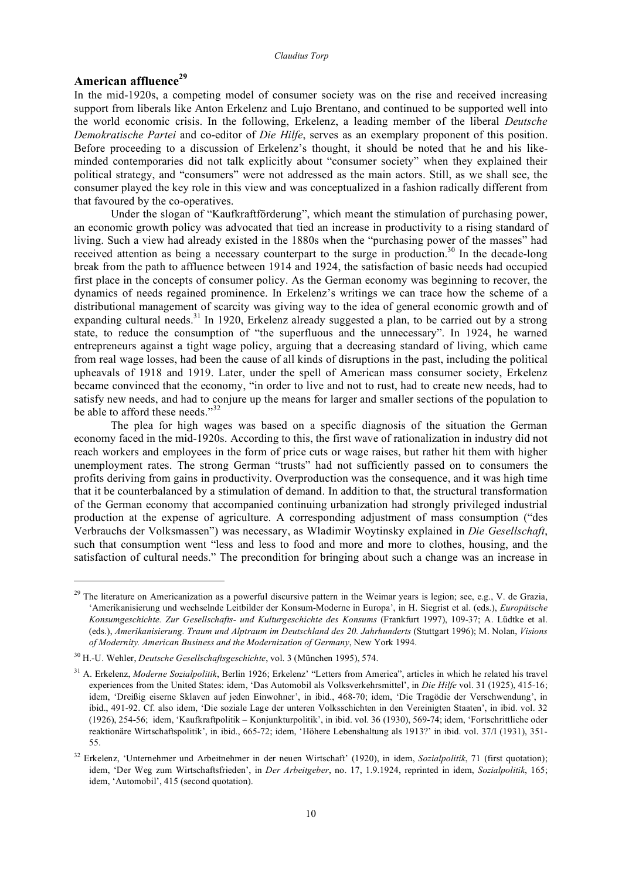# **American affluence 29**

1

In the mid-1920s, a competing model of consumer society was on the rise and received increasing support from liberals like Anton Erkelenz and Lujo Brentano, and continued to be supported well into the world economic crisis. In the following, Erkelenz, a leading member of the liberal *Deutsche Demokratische Partei* and co-editor of *Die Hilfe*, serves as an exemplary proponent of this position. Before proceeding to a discussion of Erkelenz's thought, it should be noted that he and his likeminded contemporaries did not talk explicitly about "consumer society" when they explained their political strategy, and "consumers" were not addressed as the main actors. Still, as we shall see, the consumer played the key role in this view and was conceptualized in a fashion radically different from that favoured by the co-operatives.

Under the slogan of "Kaufkraftförderung", which meant the stimulation of purchasing power, an economic growth policy was advocated that tied an increase in productivity to a rising standard of living. Such a view had already existed in the 1880s when the "purchasing power of the masses" had received attention as being a necessary counterpart to the surge in production.<sup>30</sup> In the decade-long break from the path to affluence between 1914 and 1924, the satisfaction of basic needs had occupied first place in the concepts of consumer policy. As the German economy was beginning to recover, the dynamics of needs regained prominence. In Erkelenz's writings we can trace how the scheme of a distributional management of scarcity was giving way to the idea of general economic growth and of expanding cultural needs.<sup>31</sup> In 1920, Erkelenz already suggested a plan, to be carried out by a strong state, to reduce the consumption of "the superfluous and the unnecessary". In 1924, he warned entrepreneurs against a tight wage policy, arguing that a decreasing standard of living, which came from real wage losses, had been the cause of all kinds of disruptions in the past, including the political upheavals of 1918 and 1919. Later, under the spell of American mass consumer society, Erkelenz became convinced that the economy, "in order to live and not to rust, had to create new needs, had to satisfy new needs, and had to conjure up the means for larger and smaller sections of the population to be able to afford these needs."<sup>32</sup>

The plea for high wages was based on a specific diagnosis of the situation the German economy faced in the mid-1920s. According to this, the first wave of rationalization in industry did not reach workers and employees in the form of price cuts or wage raises, but rather hit them with higher unemployment rates. The strong German "trusts" had not sufficiently passed on to consumers the profits deriving from gains in productivity. Overproduction was the consequence, and it was high time that it be counterbalanced by a stimulation of demand. In addition to that, the structural transformation of the German economy that accompanied continuing urbanization had strongly privileged industrial production at the expense of agriculture. A corresponding adjustment of mass consumption ("des Verbrauchs der Volksmassen") was necessary, as Wladimir Woytinsky explained in *Die Gesellschaft*, such that consumption went "less and less to food and more and more to clothes, housing, and the satisfaction of cultural needs." The precondition for bringing about such a change was an increase in

<sup>&</sup>lt;sup>29</sup> The literature on Americanization as a powerful discursive pattern in the Weimar years is legion; see, e.g., V. de Grazia, 'Amerikanisierung und wechselnde Leitbilder der Konsum-Moderne in Europa', in H. Siegrist et al. (eds.), *Europäische Konsumgeschichte. Zur Gesellschafts- und Kulturgeschichte des Konsums* (Frankfurt 1997), 109-37; A. Lüdtke et al. (eds.), *Amerikanisierung. Traum und Alptraum im Deutschland des 20. Jahrhunderts* (Stuttgart 1996); M. Nolan, *Visions of Modernity. American Business and the Modernization of Germany*, New York 1994.

<sup>30</sup> H.-U. Wehler, *Deutsche Gesellschaftsgeschichte*, vol. 3 (München 1995), 574.

<sup>31</sup> A. Erkelenz, *Moderne Sozialpolitik*, Berlin 1926; Erkelenz' "Letters from America", articles in which he related his travel experiences from the United States: idem, 'Das Automobil als Volksverkehrsmittel', in *Die Hilfe* vol. 31 (1925), 415-16; idem, 'Dreißig eiserne Sklaven auf jeden Einwohner', in ibid., 468-70; idem, 'Die Tragödie der Verschwendung', in ibid., 491-92. Cf. also idem, 'Die soziale Lage der unteren Volksschichten in den Vereinigten Staaten', in ibid. vol. 32 (1926), 254-56; idem, 'Kaufkraftpolitik – Konjunkturpolitik', in ibid. vol. 36 (1930), 569-74; idem, 'Fortschrittliche oder reaktionäre Wirtschaftspolitik', in ibid., 665-72; idem, 'Höhere Lebenshaltung als 1913?' in ibid. vol. 37/I (1931), 351- 55.

<sup>32</sup> Erkelenz, 'Unternehmer und Arbeitnehmer in der neuen Wirtschaft' (1920), in idem, *Sozialpolitik*, 71 (first quotation); idem, 'Der Weg zum Wirtschaftsfrieden', in *Der Arbeitgeber*, no. 17, 1.9.1924, reprinted in idem, *Sozialpolitik*, 165; idem, 'Automobil', 415 (second quotation).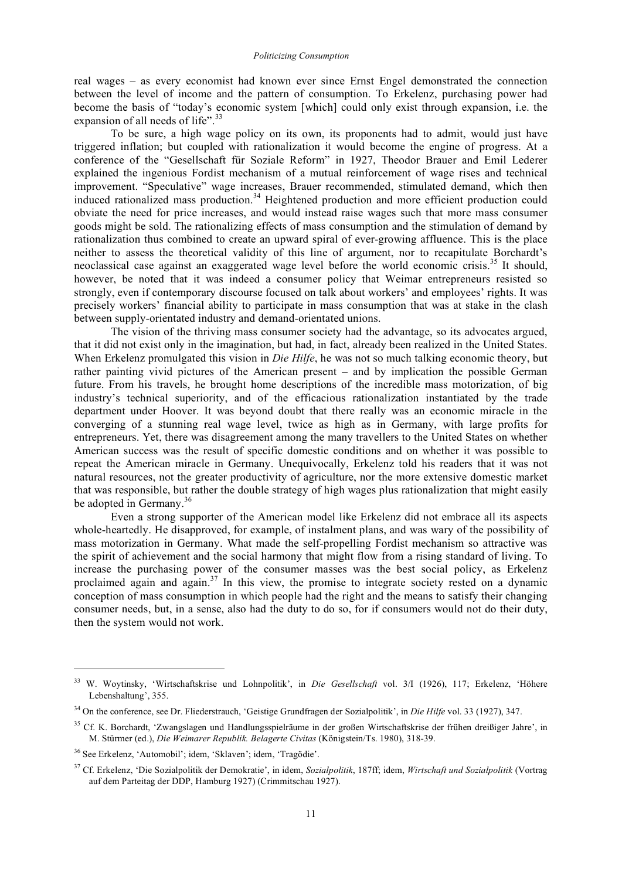real wages – as every economist had known ever since Ernst Engel demonstrated the connection between the level of income and the pattern of consumption. To Erkelenz, purchasing power had become the basis of "today's economic system [which] could only exist through expansion, i.e. the expansion of all needs of life".<sup>33</sup>

To be sure, a high wage policy on its own, its proponents had to admit, would just have triggered inflation; but coupled with rationalization it would become the engine of progress. At a conference of the "Gesellschaft für Soziale Reform" in 1927, Theodor Brauer and Emil Lederer explained the ingenious Fordist mechanism of a mutual reinforcement of wage rises and technical improvement. "Speculative" wage increases, Brauer recommended, stimulated demand, which then induced rationalized mass production.<sup>34</sup> Heightened production and more efficient production could obviate the need for price increases, and would instead raise wages such that more mass consumer goods might be sold. The rationalizing effects of mass consumption and the stimulation of demand by rationalization thus combined to create an upward spiral of ever-growing affluence. This is the place neither to assess the theoretical validity of this line of argument, nor to recapitulate Borchardt's neoclassical case against an exaggerated wage level before the world economic crisis. <sup>35</sup> It should, however, be noted that it was indeed a consumer policy that Weimar entrepreneurs resisted so strongly, even if contemporary discourse focused on talk about workers' and employees' rights. It was precisely workers' financial ability to participate in mass consumption that was at stake in the clash between supply-orientated industry and demand-orientated unions.

The vision of the thriving mass consumer society had the advantage, so its advocates argued, that it did not exist only in the imagination, but had, in fact, already been realized in the United States. When Erkelenz promulgated this vision in *Die Hilfe*, he was not so much talking economic theory, but rather painting vivid pictures of the American present – and by implication the possible German future. From his travels, he brought home descriptions of the incredible mass motorization, of big industry's technical superiority, and of the efficacious rationalization instantiated by the trade department under Hoover. It was beyond doubt that there really was an economic miracle in the converging of a stunning real wage level, twice as high as in Germany, with large profits for entrepreneurs. Yet, there was disagreement among the many travellers to the United States on whether American success was the result of specific domestic conditions and on whether it was possible to repeat the American miracle in Germany. Unequivocally, Erkelenz told his readers that it was not natural resources, not the greater productivity of agriculture, nor the more extensive domestic market that was responsible, but rather the double strategy of high wages plus rationalization that might easily be adopted in Germany.<sup>36</sup>

Even a strong supporter of the American model like Erkelenz did not embrace all its aspects whole-heartedly. He disapproved, for example, of instalment plans, and was wary of the possibility of mass motorization in Germany. What made the self-propelling Fordist mechanism so attractive was the spirit of achievement and the social harmony that might flow from a rising standard of living. To increase the purchasing power of the consumer masses was the best social policy, as Erkelenz proclaimed again and again.<sup>37</sup> In this view, the promise to integrate society rested on a dynamic conception of mass consumption in which people had the right and the means to satisfy their changing consumer needs, but, in a sense, also had the duty to do so, for if consumers would not do their duty, then the system would not work.

<sup>33</sup> W. Woytinsky, 'Wirtschaftskrise und Lohnpolitik', in *Die Gesellschaft* vol. 3/I (1926), 117; Erkelenz, 'Höhere Lebenshaltung', 355.

<sup>34</sup> On the conference, see Dr. Fliederstrauch, 'Geistige Grundfragen der Sozialpolitik', in *Die Hilfe* vol. 33 (1927), 347.

<sup>35</sup> Cf. K. Borchardt, 'Zwangslagen und Handlungsspielräume in der großen Wirtschaftskrise der frühen dreißiger Jahre', in M. Stürmer (ed.), *Die Weimarer Republik. Belagerte Civitas* (Königstein/Ts. 1980), 318-39.

<sup>36</sup> See Erkelenz, 'Automobil'; idem, 'Sklaven'; idem, 'Tragödie'.

<sup>37</sup> Cf. Erkelenz, 'Die Sozialpolitik der Demokratie', in idem, *Sozialpolitik*, 187ff; idem, *Wirtschaft und Sozialpolitik* (Vortrag auf dem Parteitag der DDP, Hamburg 1927) (Crimmitschau 1927).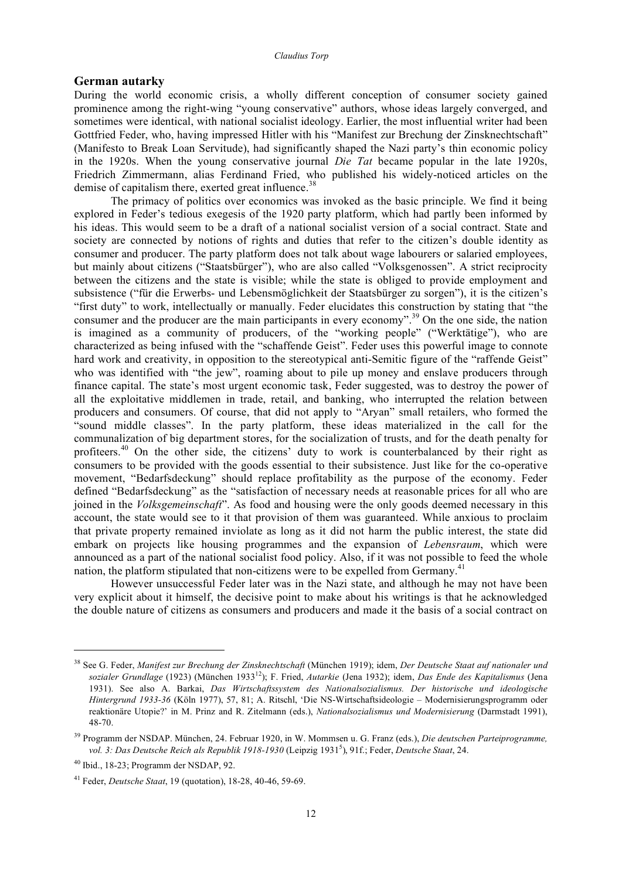## **German autarky**

During the world economic crisis, a wholly different conception of consumer society gained prominence among the right-wing "young conservative" authors, whose ideas largely converged, and sometimes were identical, with national socialist ideology. Earlier, the most influential writer had been Gottfried Feder, who, having impressed Hitler with his "Manifest zur Brechung der Zinsknechtschaft" (Manifesto to Break Loan Servitude), had significantly shaped the Nazi party's thin economic policy in the 1920s. When the young conservative journal *Die Tat* became popular in the late 1920s, Friedrich Zimmermann, alias Ferdinand Fried, who published his widely-noticed articles on the demise of capitalism there, exerted great influence.<sup>38</sup>

The primacy of politics over economics was invoked as the basic principle. We find it being explored in Feder's tedious exegesis of the 1920 party platform, which had partly been informed by his ideas. This would seem to be a draft of a national socialist version of a social contract. State and society are connected by notions of rights and duties that refer to the citizen's double identity as consumer and producer. The party platform does not talk about wage labourers or salaried employees, but mainly about citizens ("Staatsbürger"), who are also called "Volksgenossen". A strict reciprocity between the citizens and the state is visible; while the state is obliged to provide employment and subsistence ("für die Erwerbs- und Lebensmöglichkeit der Staatsbürger zu sorgen"), it is the citizen's "first duty" to work, intellectually or manually. Feder elucidates this construction by stating that "the consumer and the producer are the main participants in every economy".<sup>39</sup> On the one side, the nation is imagined as a community of producers, of the "working people" ("Werktätige"), who are characterized as being infused with the "schaffende Geist". Feder uses this powerful image to connote hard work and creativity, in opposition to the stereotypical anti-Semitic figure of the "raffende Geist" who was identified with "the jew", roaming about to pile up money and enslave producers through finance capital. The state's most urgent economic task, Feder suggested, was to destroy the power of all the exploitative middlemen in trade, retail, and banking, who interrupted the relation between producers and consumers. Of course, that did not apply to "Aryan" small retailers, who formed the "sound middle classes". In the party platform, these ideas materialized in the call for the communalization of big department stores, for the socialization of trusts, and for the death penalty for profiteers.<sup>40</sup> On the other side, the citizens' duty to work is counterbalanced by their right as consumers to be provided with the goods essential to their subsistence. Just like for the co-operative movement, "Bedarfsdeckung" should replace profitability as the purpose of the economy. Feder defined "Bedarfsdeckung" as the "satisfaction of necessary needs at reasonable prices for all who are joined in the *Volksgemeinschaft*". As food and housing were the only goods deemed necessary in this account, the state would see to it that provision of them was guaranteed. While anxious to proclaim that private property remained inviolate as long as it did not harm the public interest, the state did embark on projects like housing programmes and the expansion of *Lebensraum*, which were announced as a part of the national socialist food policy. Also, if it was not possible to feed the whole nation, the platform stipulated that non-citizens were to be expelled from Germany.<sup>41</sup>

However unsuccessful Feder later was in the Nazi state, and although he may not have been very explicit about it himself, the decisive point to make about his writings is that he acknowledged the double nature of citizens as consumers and producers and made it the basis of a social contract on

<sup>38</sup> See G. Feder, *Manifest zur Brechung der Zinsknechtschaft* (München 1919); idem, *Der Deutsche Staat auf nationaler und sozialer Grundlage* (1923) (München 1933<sup>12</sup> ); F. Fried, *Autarkie* (Jena 1932); idem, *Das Ende des Kapitalismus* (Jena 1931). See also A. Barkai, *Das Wirtschaftssystem des Nationalsozialismus. Der historische und ideologische Hintergrund 1933-36* (Köln 1977), 57, 81; A. Ritschl, 'Die NS-Wirtschaftsideologie – Modernisierungsprogramm oder reaktionäre Utopie?' in M. Prinz and R. Zitelmann (eds.), *Nationalsozialismus und Modernisierung* (Darmstadt 1991), 48-70.

<sup>39</sup> Programm der NSDAP. München, 24. Februar 1920, in W. Mommsen u. G. Franz (eds.), *Die deutschen Parteiprogramme, vol. 3: Das Deutsche Reich als Republik 1918-1930* (Leipzig 1931<sup>5</sup> ), 91f.; Feder, *Deutsche Staat*, 24.

<sup>40</sup> Ibid., 18-23; Programm der NSDAP, 92.

<sup>41</sup> Feder, *Deutsche Staat*, 19 (quotation), 18-28, 40-46, 59-69.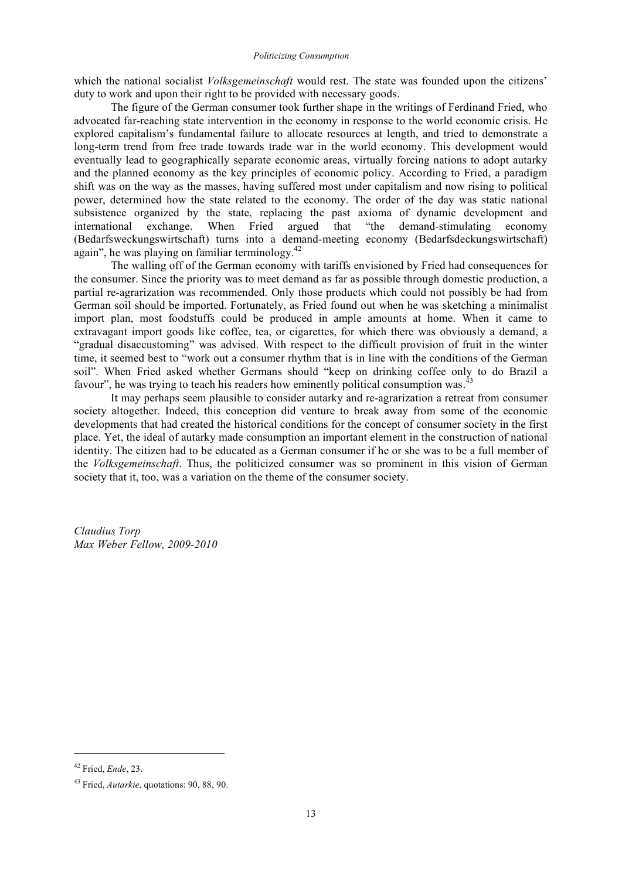which the national socialist *Volksgemeinschaft* would rest. The state was founded upon the citizens' duty to work and upon their right to be provided with necessary goods.

The figure of the German consumer took further shape in the writings of Ferdinand Fried, who advocated far-reaching state intervention in the economy in response to the world economic crisis. He explored capitalism's fundamental failure to allocate resources at length, and tried to demonstrate a long-term trend from free trade towards trade war in the world economy. This development would eventually lead to geographically separate economic areas, virtually forcing nations to adopt autarky and the planned economy as the key principles of economic policy. According to Fried, a paradigm shift was on the way as the masses, having suffered most under capitalism and now rising to political power, determined how the state related to the economy. The order of the day was static national subsistence organized by the state, replacing the past axioma of dynamic development and international exchange. When Fried argued that "the demand-stimulating economy (Bedarfsweckungswirtschaft) turns into a demand-meeting economy (Bedarfsdeckungswirtschaft) again", he was playing on familiar terminology.<sup>42</sup>

The walling off of the German economy with tariffs envisioned by Fried had consequences for the consumer. Since the priority was to meet demand as far as possible through domestic production, a partial re-agrarization was recommended. Only those products which could not possibly be had from German soil should be imported. Fortunately, as Fried found out when he was sketching a minimalist import plan, most foodstuffs could be produced in ample amounts at home. When it came to extravagant import goods like coffee, tea, or cigarettes, for which there was obviously a demand, a "gradual disaccustoming" was advised. With respect to the difficult provision of fruit in the winter time, it seemed best to "work out a consumer rhythm that is in line with the conditions of the German soil". When Fried asked whether Germans should "keep on drinking coffee only to do Brazil a favour", he was trying to teach his readers how eminently political consumption was.<sup>43</sup>

It may perhaps seem plausible to consider autarky and re-agrarization a retreat from consumer society altogether. Indeed, this conception did venture to break away from some of the economic developments that had created the historical conditions for the concept of consumer society in the first place. Yet, the ideal of autarky made consumption an important element in the construction of national identity. The citizen had to be educated as a German consumer if he or she was to be a full member of the *Volksgemeinschaft*. Thus, the politicized consumer was so prominent in this vision of German society that it, too, was a variation on the theme of the consumer society.

*Claudius Torp Max Weber Fellow, 2009-2010*

<sup>42</sup> Fried, *Ende*, 23.

<sup>43</sup> Fried, *Autarkie*, quotations: 90, 88, 90.